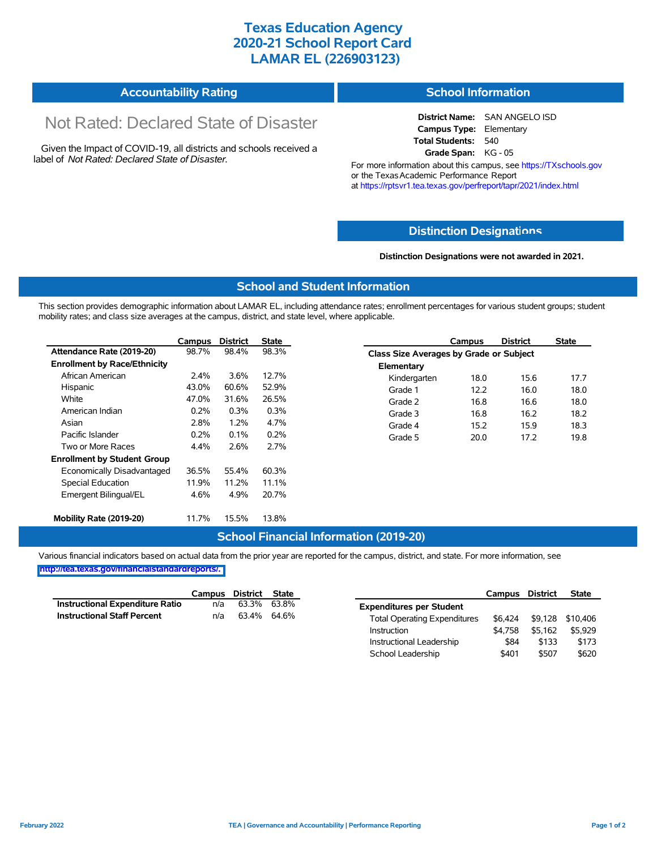# **Texas Education Agency 2020-21 School Report Card LAMAR EL (226903123)**

| <b>Accountability Rating</b> | <b>School Information</b> |
|------------------------------|---------------------------|
|                              |                           |

# Not Rated: Declared State of Disaster

Given the Impact of COVID-19, all districts and schools received a label of *Not Rated: Declared State of Disaster.*

**District Name:** SAN ANGELO ISD **Campus Type:** Elementary **Total Students:** 540 **Grade Span:** KG - 05

For more information about this campus, see https://TXschools.gov or the Texas Academic Performance Report at https://rptsvr1.tea.texas.gov/perfreport/tapr/2021/index.html

## **Distinction Designat[ions](https://TXschools.gov)**

**Distinction Designations were not awarded in 2021.**

School Leadership  $$401$  \$507 \$620

#### **School and Student Information**

This section provides demographic information about LAMAR EL, including attendance rates; enrollment percentages for various student groups; student mobility rates; and class size averages at the campus, district, and state level, where applicable.

|                                     | Campus | <b>District</b> | <b>State</b> |              | Campus                                  | <b>District</b> | <b>State</b> |  |  |
|-------------------------------------|--------|-----------------|--------------|--------------|-----------------------------------------|-----------------|--------------|--|--|
| Attendance Rate (2019-20)           | 98.7%  | 98.4%           | 98.3%        |              | Class Size Averages by Grade or Subject |                 |              |  |  |
| <b>Enrollment by Race/Ethnicity</b> |        |                 |              | Elementary   |                                         |                 |              |  |  |
| African American                    | 2.4%   | 3.6%            | 12.7%        | Kindergarten | 18.0                                    | 15.6            | 17.7         |  |  |
| Hispanic                            | 43.0%  | 60.6%           | 52.9%        | Grade 1      | 12.2                                    | 16.0            | 18.0         |  |  |
| White                               | 47.0%  | 31.6%           | 26.5%        | Grade 2      | 16.8                                    | 16.6            | 18.0         |  |  |
| American Indian                     | 0.2%   | 0.3%            | 0.3%         | Grade 3      | 16.8                                    | 16.2            | 18.2         |  |  |
| Asian                               | 2.8%   | 1.2%            | 4.7%         | Grade 4      | 15.2                                    | 15.9            | 18.3         |  |  |
| Pacific Islander                    | 0.2%   | 0.1%            | 0.2%         | Grade 5      | 20.0                                    | 17.2            | 19.8         |  |  |
| Two or More Races                   | 4.4%   | 2.6%            | 2.7%         |              |                                         |                 |              |  |  |
| <b>Enrollment by Student Group</b>  |        |                 |              |              |                                         |                 |              |  |  |
| Economically Disadvantaged          | 36.5%  | 55.4%           | 60.3%        |              |                                         |                 |              |  |  |
| Special Education                   | 11.9%  | 11.2%           | 11.1%        |              |                                         |                 |              |  |  |
| Emergent Bilingual/EL               | 4.6%   | 4.9%            | 20.7%        |              |                                         |                 |              |  |  |
|                                     |        |                 |              |              |                                         |                 |              |  |  |
| Mobility Rate (2019-20)             | 11.7%  | 15.5%           | 13.8%        |              |                                         |                 |              |  |  |

## **School Financial Information (2019-20)**

Various financial indicators based on actual data from the prior year are reported for the campus, district, and state. For more information, see

**[http://tea.texas.gov/financialstandardreports/.](http://tea.texas.gov/financialstandardreports/)**

|                                        | Campus | District | State |                                     | Campus  | <b>District</b> | <b>State</b>     |
|----------------------------------------|--------|----------|-------|-------------------------------------|---------|-----------------|------------------|
| <b>Instructional Expenditure Ratio</b> | n/a    | 63.3%    | 63.8% | <b>Expenditures per Student</b>     |         |                 |                  |
| <b>Instructional Staff Percent</b>     | n/a    | 63.4%    | 64.6% | <b>Total Operating Expenditures</b> | \$6.424 |                 | \$9,128 \$10,406 |
|                                        |        |          |       | Instruction                         | \$4.758 | \$5.162         | \$5,929          |
|                                        |        |          |       | Instructional Leadership            | \$84    | \$133           | \$173            |